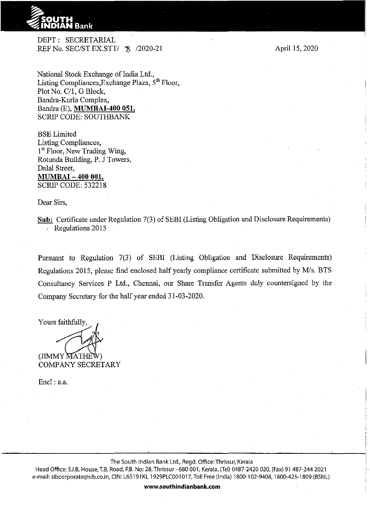

DEPT: SECRETARIAL REF No. SEC/ST EX.STT/  $\frac{8}{2020}$ -21

National Stock Exchange of India Ltd., Listing Compliances, Exchange Plaza, 5<sup>th</sup> Floor, Plot No. C/1, G Block, Bandra-Kurla Complex, Bandra (E), **MUMBAI-400 051.**  SCRIP CODE: SOUTHBANK

BSELimited Listing Compliances, 1<sup>st</sup> Floor, New Trading Wing, Rotunda Building, P. J Towers, Dalal Street, **MUMBAI- 400 001.**  SCRIP CODE: 532218

Dear Sirs,

**Sub:** Certificate under Regulation 7(3) of SEBI (Listing Obligation and Disclosure Requirements) . Regulations 2015

Pursuant to Regulation 7(3) of SEBI (Listing Obligation and Disclosure Requirements) Regulations 2015, please find enclosed half yearly compliance certificate submitted by M/s. BTS Consultancy Services P Ltd., Chennai, our Share Transfer Agents duly countersigned by the Company Secretary for the half year ended 31-03-2020.

Yours faithfully,

(JIMMY MATHE COMPANY SECRETARY

Encl: a.a.

the South Indian Bank Ltd., Regd. Office:Thrissur, Kerala

Head Office: S.I.B. House, T.B. Road, P.B. No: 28, Thrissur- 680 001, Kerala. (Tel) 0487-2420 020, (Fax) 91 487-244 2021 e-mail: sibcorporate@sib.co.in, CIN: L65191KL 1929PLC001017, Toll Free (India) 1800-102-9408, 1800-425-1809 (BSNL)

**www.southindianbank.com** 

April IS, 2020